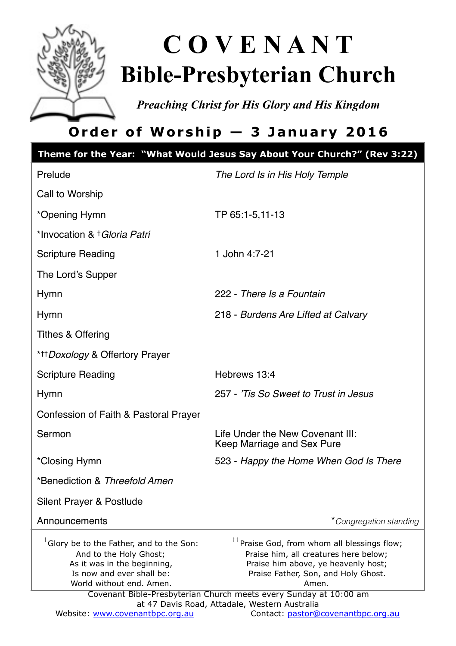

# **C O V E N A N T Bible-Presbyterian Church**

*Preaching Christ for His Glory and His Kingdom* 

# **Order of Worship — 3 January 2016**

|                                                                                                                                                                        | Theme for the Year: "What Would Jesus Say About Your Church?" (Rev 3:22)                                                                                                                                                                                     |
|------------------------------------------------------------------------------------------------------------------------------------------------------------------------|--------------------------------------------------------------------------------------------------------------------------------------------------------------------------------------------------------------------------------------------------------------|
| Prelude                                                                                                                                                                | The Lord Is in His Holy Temple                                                                                                                                                                                                                               |
| Call to Worship                                                                                                                                                        |                                                                                                                                                                                                                                                              |
| *Opening Hymn                                                                                                                                                          | TP 65:1-5,11-13                                                                                                                                                                                                                                              |
| *Invocation & † <i>Gloria Patri</i>                                                                                                                                    |                                                                                                                                                                                                                                                              |
| <b>Scripture Reading</b>                                                                                                                                               | 1 John 4:7-21                                                                                                                                                                                                                                                |
| The Lord's Supper                                                                                                                                                      |                                                                                                                                                                                                                                                              |
| <b>Hymn</b>                                                                                                                                                            | 222 - There Is a Fountain                                                                                                                                                                                                                                    |
| Hymn                                                                                                                                                                   | 218 - Burdens Are Lifted at Calvary                                                                                                                                                                                                                          |
| <b>Tithes &amp; Offering</b>                                                                                                                                           |                                                                                                                                                                                                                                                              |
| * <sup>+++</sup> Doxology & Offertory Prayer                                                                                                                           |                                                                                                                                                                                                                                                              |
| <b>Scripture Reading</b>                                                                                                                                               | Hebrews 13:4                                                                                                                                                                                                                                                 |
| Hymn                                                                                                                                                                   | 257 - 'Tis So Sweet to Trust in Jesus                                                                                                                                                                                                                        |
| Confession of Faith & Pastoral Prayer                                                                                                                                  |                                                                                                                                                                                                                                                              |
| Sermon                                                                                                                                                                 | Life Under the New Covenant III:<br>Keep Marriage and Sex Pure                                                                                                                                                                                               |
| *Closing Hymn                                                                                                                                                          | 523 - Happy the Home When God Is There                                                                                                                                                                                                                       |
| *Benediction & Threefold Amen                                                                                                                                          |                                                                                                                                                                                                                                                              |
| Silent Prayer & Postlude                                                                                                                                               |                                                                                                                                                                                                                                                              |
| Announcements                                                                                                                                                          | *Congregation standing                                                                                                                                                                                                                                       |
| <sup>†</sup> Glory be to the Father, and to the Son:<br>And to the Holy Ghost;<br>As it was in the beginning,<br>Is now and ever shall be:<br>World without end. Amen. | <sup>††</sup> Praise God, from whom all blessings flow;<br>Praise him, all creatures here below;<br>Praise him above, ye heavenly host;<br>Praise Father, Son, and Holy Ghost.<br>Amen.<br>Covenant Bible-Presbyterian Church meets every Sunday at 10:00 am |
| Website: www.covenantbpc.org.au                                                                                                                                        | at 47 Davis Road, Attadale, Western Australia<br>Contact: pastor@covenantbpc.org.au                                                                                                                                                                          |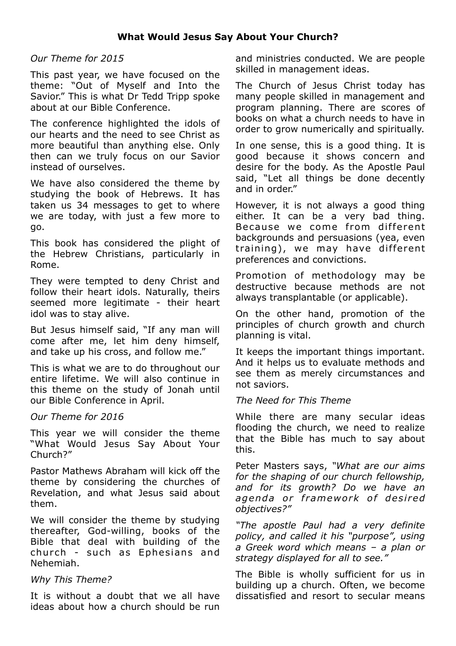### *Our Theme for 2015*

This past year, we have focused on the theme: "Out of Myself and Into the Savior." This is what Dr Tedd Tripp spoke about at our Bible Conference.

The conference highlighted the idols of our hearts and the need to see Christ as more beautiful than anything else. Only then can we truly focus on our Savior instead of ourselves.

We have also considered the theme by studying the book of Hebrews. It has taken us 34 messages to get to where we are today, with just a few more to go.

This book has considered the plight of the Hebrew Christians, particularly in Rome.

They were tempted to deny Christ and follow their heart idols. Naturally, theirs seemed more legitimate - their heart idol was to stay alive.

But Jesus himself said, "If any man will come after me, let him deny himself, and take up his cross, and follow me."

This is what we are to do throughout our entire lifetime. We will also continue in this theme on the study of Jonah until our Bible Conference in April.

#### *Our Theme for 2016*

This year we will consider the theme "What Would Jesus Say About Your Church?"

Pastor Mathews Abraham will kick off the theme by considering the churches of Revelation, and what Jesus said about them.

We will consider the theme by studying thereafter, God-willing, books of the Bible that deal with building of the church - such as Ephesians and Nehemiah.

#### *Why This Theme?*

It is without a doubt that we all have ideas about how a church should be run

and ministries conducted. We are people skilled in management ideas.

The Church of Jesus Christ today has many people skilled in management and program planning. There are scores of books on what a church needs to have in order to grow numerically and spiritually.

In one sense, this is a good thing. It is good because it shows concern and desire for the body. As the Apostle Paul said, "Let all things be done decently and in order."

However, it is not always a good thing either. It can be a very bad thing. Because we come from different backgrounds and persuasions (yea, even training), we may have different preferences and convictions.

Promotion of methodology may be destructive because methods are not always transplantable (or applicable).

On the other hand, promotion of the principles of church growth and church planning is vital.

It keeps the important things important. And it helps us to evaluate methods and see them as merely circumstances and not saviors.

#### *The Need for This Theme*

While there are many secular ideas flooding the church, we need to realize that the Bible has much to say about this.

Peter Masters says, *"What are our aims for the shaping of our church fellowship, and for its growth? Do we have an*  agenda or framework of desired *objectives?"* 

*"The apostle Paul had a very definite policy, and called it his "purpose", using a Greek word which means – a plan or strategy displayed for all to see."* 

The Bible is wholly sufficient for us in building up a church. Often, we become dissatisfied and resort to secular means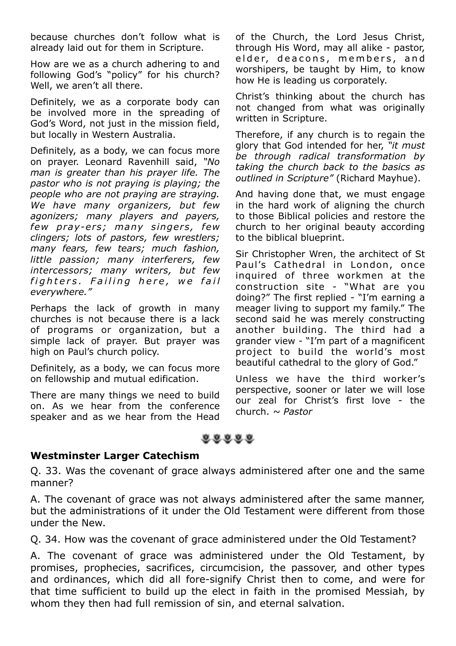because churches don't follow what is already laid out for them in Scripture.

How are we as a church adhering to and following God's "policy" for his church? Well, we aren't all there.

Definitely, we as a corporate body can be involved more in the spreading of God's Word, not just in the mission field, but locally in Western Australia.

Definitely, as a body, we can focus more on prayer. Leonard Ravenhill said, *"No man is greater than his prayer life. The pastor who is not praying is playing; the people who are not praying are straying. We have many organizers, but few agonizers; many players and payers, few pray-ers; many singers , few clingers; lots of pastors, few wrestlers; many fears, few tears; much fashion, little passion; many interferers, few intercessors; many writers, but few*  fighters. Failing here, we fail *everywhere."*

Perhaps the lack of growth in many churches is not because there is a lack of programs or organization, but a simple lack of prayer. But prayer was high on Paul's church policy.

Definitely, as a body, we can focus more on fellowship and mutual edification.

There are many things we need to build on. As we hear from the conference speaker and as we hear from the Head of the Church, the Lord Jesus Christ, through His Word, may all alike - pastor, elder, deacons, members, and worshipers, be taught by Him, to know how He is leading us corporately.

Christ's thinking about the church has not changed from what was originally written in Scripture.

Therefore, if any church is to regain the glory that God intended for her, *"it must be through radical transformation by taking the church back to the basics as outlined in Scripture"* (Richard Mayhue).

And having done that, we must engage in the hard work of aligning the church to those Biblical policies and restore the church to her original beauty according to the biblical blueprint.

Sir Christopher Wren, the architect of St Paul's Cathedral in London, once inquired of three workmen at the construction site - "What are you doing?" The first replied - "I'm earning a meager living to support my family." The second said he was merely constructing another building. The third had a grander view - "I'm part of a magnificent project to build the world's most beautiful cathedral to the glory of God."

Unless we have the third worker's perspective, sooner or later we will lose our zeal for Christ's first love - the church. *~ Pastor*

# $0.0.0.0.0$

## **Westminster Larger Catechism**

Q. 33. Was the covenant of grace always administered after one and the same manner?

A. The covenant of grace was not always administered after the same manner, but the administrations of it under the Old Testament were different from those under the New.

Q. 34. How was the covenant of grace administered under the Old Testament?

A. The covenant of grace was administered under the Old Testament, by promises, prophecies, sacrifices, circumcision, the passover, and other types and ordinances, which did all fore-signify Christ then to come, and were for that time sufficient to build up the elect in faith in the promised Messiah, by whom they then had full remission of sin, and eternal salvation.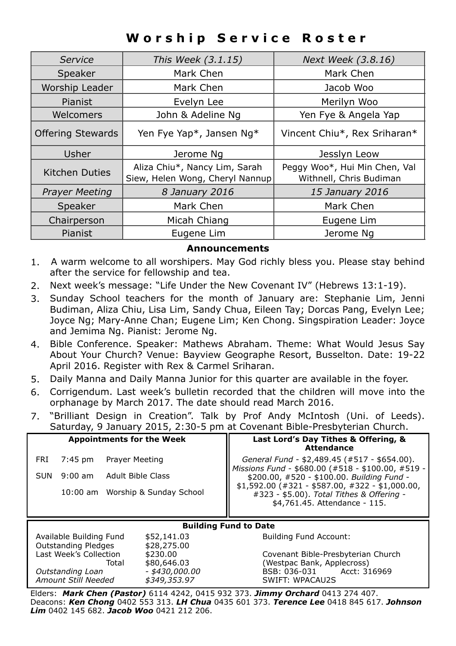# **Worship Service Roster**

| Service                  | This Week (3.1.15)                                               | Next Week (3.8.16)                                       |  |
|--------------------------|------------------------------------------------------------------|----------------------------------------------------------|--|
| Speaker                  | Mark Chen                                                        | Mark Chen                                                |  |
| Worship Leader           | Mark Chen                                                        | Jacob Woo                                                |  |
| Pianist                  | Evelyn Lee                                                       | Merilyn Woo                                              |  |
| Welcomers                | John & Adeline Ng                                                | Yen Fye & Angela Yap                                     |  |
| <b>Offering Stewards</b> | Yen Fye Yap*, Jansen Ng*                                         | Vincent Chiu*, Rex Sriharan*                             |  |
| Usher                    | Jerome Ng                                                        | Jesslyn Leow                                             |  |
| Kitchen Duties           | Aliza Chiu*, Nancy Lim, Sarah<br>Siew, Helen Wong, Cheryl Nannup | Peggy Woo*, Hui Min Chen, Val<br>Withnell, Chris Budiman |  |
| <b>Prayer Meeting</b>    | 8 January 2016                                                   | 15 January 2016                                          |  |
| Speaker                  | Mark Chen                                                        | Mark Chen                                                |  |
| Chairperson              | Micah Chiang                                                     | Eugene Lim                                               |  |
| Pianist                  | Eugene Lim                                                       | Jerome Ng                                                |  |

### **Announcements**

- 1. A warm welcome to all worshipers. May God richly bless you. Please stay behind after the service for fellowship and tea.
- 2. Next week's message: "Life Under the New Covenant IV" (Hebrews 13:1-19).
- 3. Sunday School teachers for the month of January are: Stephanie Lim, Jenni Budiman, Aliza Chiu, Lisa Lim, Sandy Chua, Eileen Tay; Dorcas Pang, Evelyn Lee; Joyce Ng; Mary-Anne Chan; Eugene Lim; Ken Chong. Singspiration Leader: Joyce and Jemima Ng. Pianist: Jerome Ng.
- 4. Bible Conference. Speaker: Mathews Abraham. Theme: What Would Jesus Say About Your Church? Venue: Bayview Geographe Resort, Busselton. Date: 19-22 April 2016. Register with Rex & Carmel Sriharan.
- 5. Daily Manna and Daily Manna Junior for this quarter are available in the foyer.
- 6. Corrigendum. Last week's bulletin recorded that the children will move into the orphanage by March 2017. The date should read March 2016.
- 7. "Brilliant Design in Creation". Talk by Prof Andy McIntosh (Uni. of Leeds). Saturday, 9 January 2015, 2:30-5 pm at Covenant Bible-Presbyterian Church.

| <b>Appointments for the Week</b>                                                    |                                  |                   |             | Last Lord's Day Tithes & Offering, &<br><b>Attendance</b>                                                                      |  |
|-------------------------------------------------------------------------------------|----------------------------------|-------------------|-------------|--------------------------------------------------------------------------------------------------------------------------------|--|
| FRI                                                                                 | $7:45$ pm                        | Prayer Meeting    |             | General Fund - \$2,489.45 (#517 - \$654.00).                                                                                   |  |
| SUN                                                                                 | $9:00$ am                        | Adult Bible Class |             | Missions Fund - \$680.00 (#518 - \$100.00, #519 -<br>\$200.00, #520 - \$100.00. Building Fund -                                |  |
|                                                                                     | 10:00 am Worship & Sunday School |                   |             | $$1,592.00$ (#321 - \$587.00, #322 - \$1,000.00,<br>#323 - \$5.00). Total Tithes & Offering -<br>\$4,761.45. Attendance - 115. |  |
| <b>Building Fund to Date</b>                                                        |                                  |                   |             |                                                                                                                                |  |
| Available Building Fund<br>\$52,141.03<br><b>Outstanding Pledges</b><br>\$28,275.00 |                                  |                   |             | <b>Building Fund Account:</b>                                                                                                  |  |
| Last Week's Collection<br>\$230.00                                                  |                                  |                   |             | Covenant Bible-Presbyterian Church                                                                                             |  |
|                                                                                     |                                  | Total             | \$80,646.03 | (Westpac Bank, Applecross)                                                                                                     |  |
| - \$430,000.00<br>Outstanding Loan                                                  |                                  |                   |             | BSB: 036-031 Acct: 316969                                                                                                      |  |
| Amount Still Needed<br>\$349,353,97                                                 |                                  |                   |             | <b>SWIFT: WPACAU2S</b>                                                                                                         |  |

Elders: *Mark Chen (Pastor)* 6114 4242, 0415 932 373. *Jimmy Orchard* 0413 274 407. Deacons: *Ken Chong* 0402 553 313. *LH Chua* 0435 601 373. *Terence Lee* 0418 845 617. *Johnson Lim* 0402 145 682. *Jacob Woo* 0421 212 206.